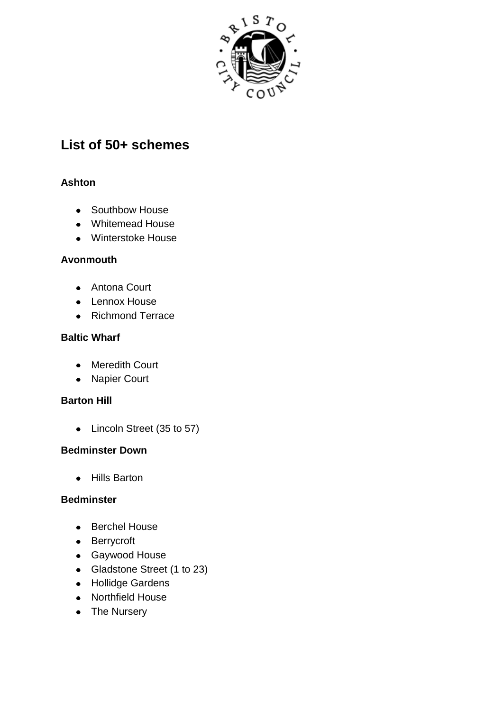

# **List of 50+ schemes**

### **Ashton**

- Southbow House
- Whitemead House
- Winterstoke House

### **Avonmouth**

- Antona Court
- Lennox House
- Richmond Terrace

### **Baltic Wharf**

- Meredith Court
- Napier Court

### **Barton Hill**

• Lincoln Street (35 to 57)

### **Bedminster Down**

• Hills Barton

### **Bedminster**

- Berchel House
- Berrycroft
- Gaywood House
- Gladstone Street (1 to 23)
- Hollidge Gardens
- Northfield House
- The Nursery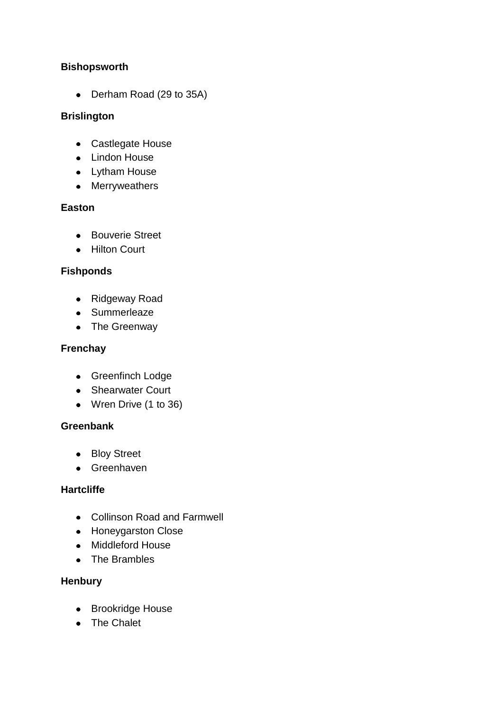### **Bishopsworth**

• Derham Road (29 to 35A)

### **Brislington**

- Castlegate House
- Lindon House
- Lytham House
- Merryweathers

# **Easton**

- Bouverie Street
- Hilton Court

# **Fishponds**

- Ridgeway Road
- Summerleaze
- The Greenway

# **Frenchay**

- Greenfinch Lodge
- Shearwater Court
- Wren Drive (1 to 36)

### **Greenbank**

- Bloy Street
- **Greenhaven**

### **Hartcliffe**

- Collinson Road and Farmwell
- Honeygarston Close
- Middleford House
- The Brambles

### **Henbury**

- Brookridge House
- The Chalet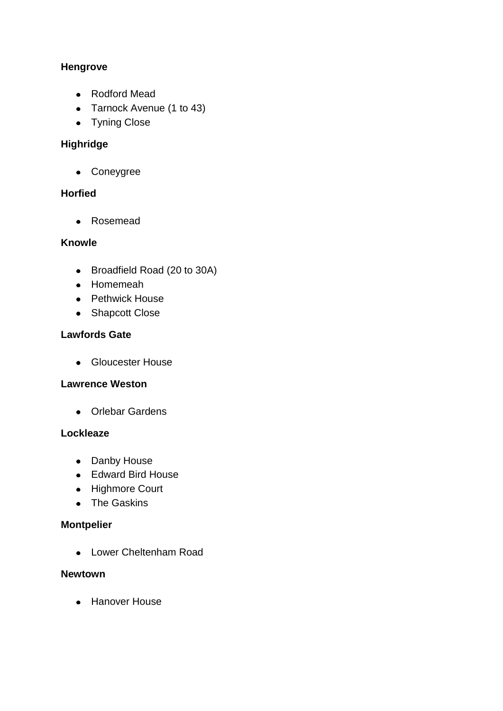# **Hengrove**

- Rodford Mead
- Tarnock Avenue (1 to 43)
- Tyning Close

# **Highridge**

Coneygree

# **Horfied**

• Rosemead

### **Knowle**

- Broadfield Road (20 to 30A)
- Homemeah
- Pethwick House
- Shapcott Close

### **Lawfords Gate**

**•** Gloucester House

### **Lawrence Weston**

Orlebar Gardens

### **Lockleaze**

- Danby House
- Edward Bird House
- Highmore Court
- The Gaskins

# **Montpelier**

Lower Cheltenham Road

### **Newtown**

• Hanover House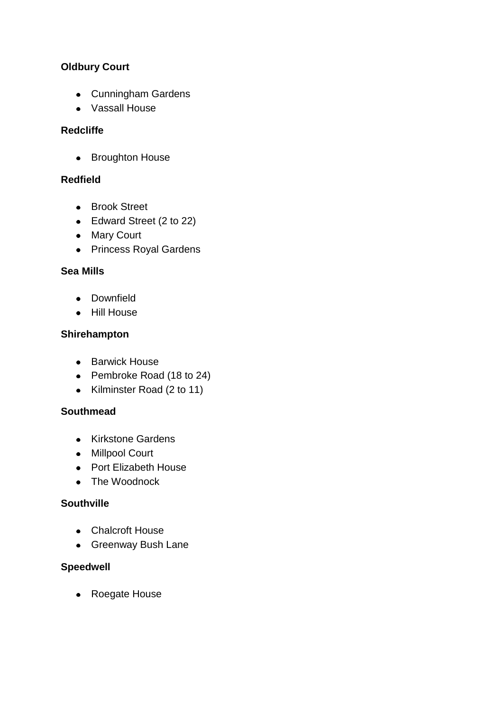# **Oldbury Court**

- Cunningham Gardens
- Vassall House

### **Redcliffe**

• Broughton House

### **Redfield**

- **•** Brook Street
- Edward Street (2 to 22)
- Mary Court
- Princess Royal Gardens

# **Sea Mills**

- Downfield
- Hill House

# **Shirehampton**

- Barwick House
- Pembroke Road (18 to 24)
- Kilminster Road (2 to 11)

### **Southmead**

- Kirkstone Gardens
- Millpool Court
- Port Elizabeth House
- The Woodnock

### **Southville**

- Chalcroft House
- Greenway Bush Lane

### **Speedwell**

Roegate House